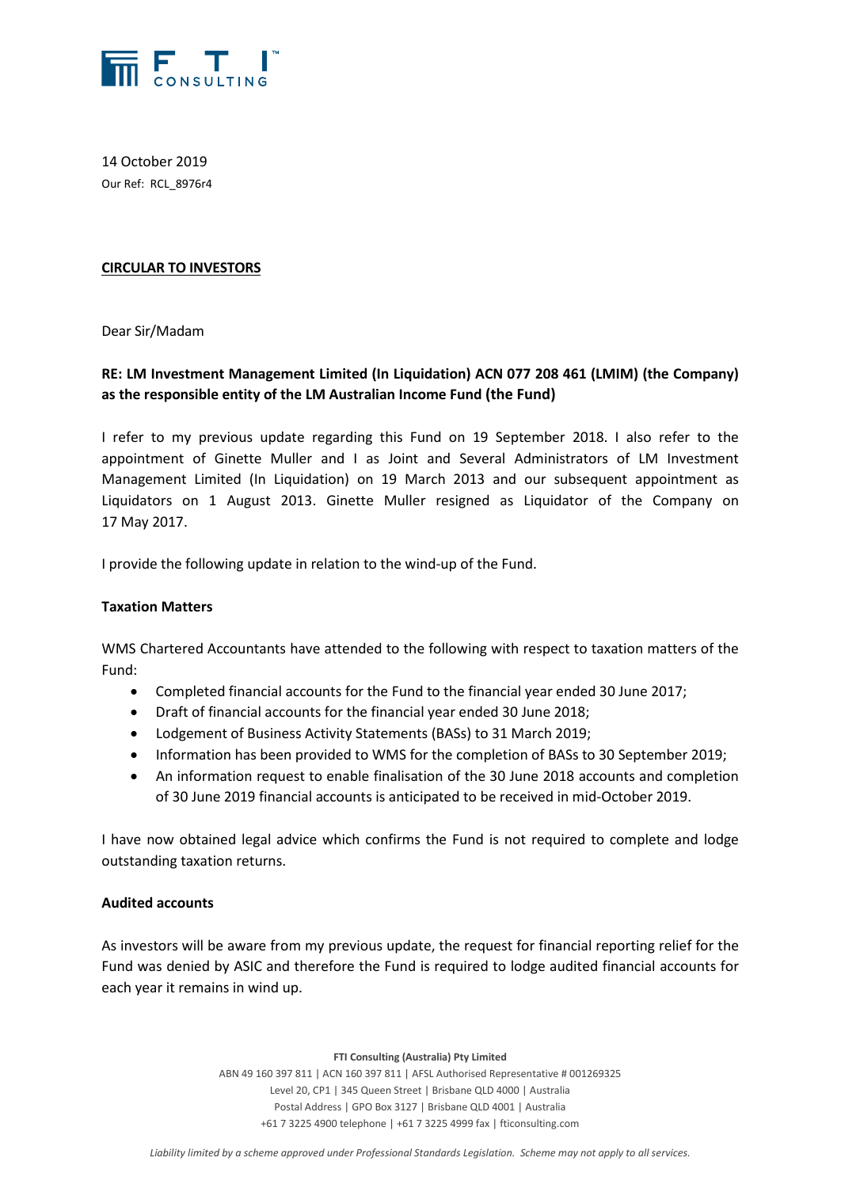

14 October 2019 Our Ref: RCL\_8976r4

## **CIRCULAR TO INVESTORS**

Dear Sir/Madam

# **RE: LM Investment Management Limited (In Liquidation) ACN 077 208 461 (LMIM) (the Company) as the responsible entity of the LM Australian Income Fund (the Fund)**

I refer to my previous update regarding this Fund on 19 September 2018. I also refer to the appointment of Ginette Muller and I as Joint and Several Administrators of LM Investment Management Limited (In Liquidation) on 19 March 2013 and our subsequent appointment as Liquidators on 1 August 2013. Ginette Muller resigned as Liquidator of the Company on 17 May 2017.

I provide the following update in relation to the wind-up of the Fund.

#### **Taxation Matters**

WMS Chartered Accountants have attended to the following with respect to taxation matters of the Fund:

- Completed financial accounts for the Fund to the financial year ended 30 June 2017;
- Draft of financial accounts for the financial year ended 30 June 2018;
- Lodgement of Business Activity Statements (BASs) to 31 March 2019;
- Information has been provided to WMS for the completion of BASs to 30 September 2019;
- An information request to enable finalisation of the 30 June 2018 accounts and completion of 30 June 2019 financial accounts is anticipated to be received in mid-October 2019.

I have now obtained legal advice which confirms the Fund is not required to complete and lodge outstanding taxation returns.

#### **Audited accounts**

As investors will be aware from my previous update, the request for financial reporting relief for the Fund was denied by ASIC and therefore the Fund is required to lodge audited financial accounts for each year it remains in wind up.

**FTI Consulting (Australia) Pty Limited**

ABN 49 160 397 811 | ACN 160 397 811 | AFSL Authorised Representative # 001269325 Level 20, CP1 | 345 Queen Street | Brisbane QLD 4000 | Australia Postal Address | GPO Box 3127 | Brisbane QLD 4001 | Australia +61 7 3225 4900 telephone | +61 7 3225 4999 fax | fticonsulting.com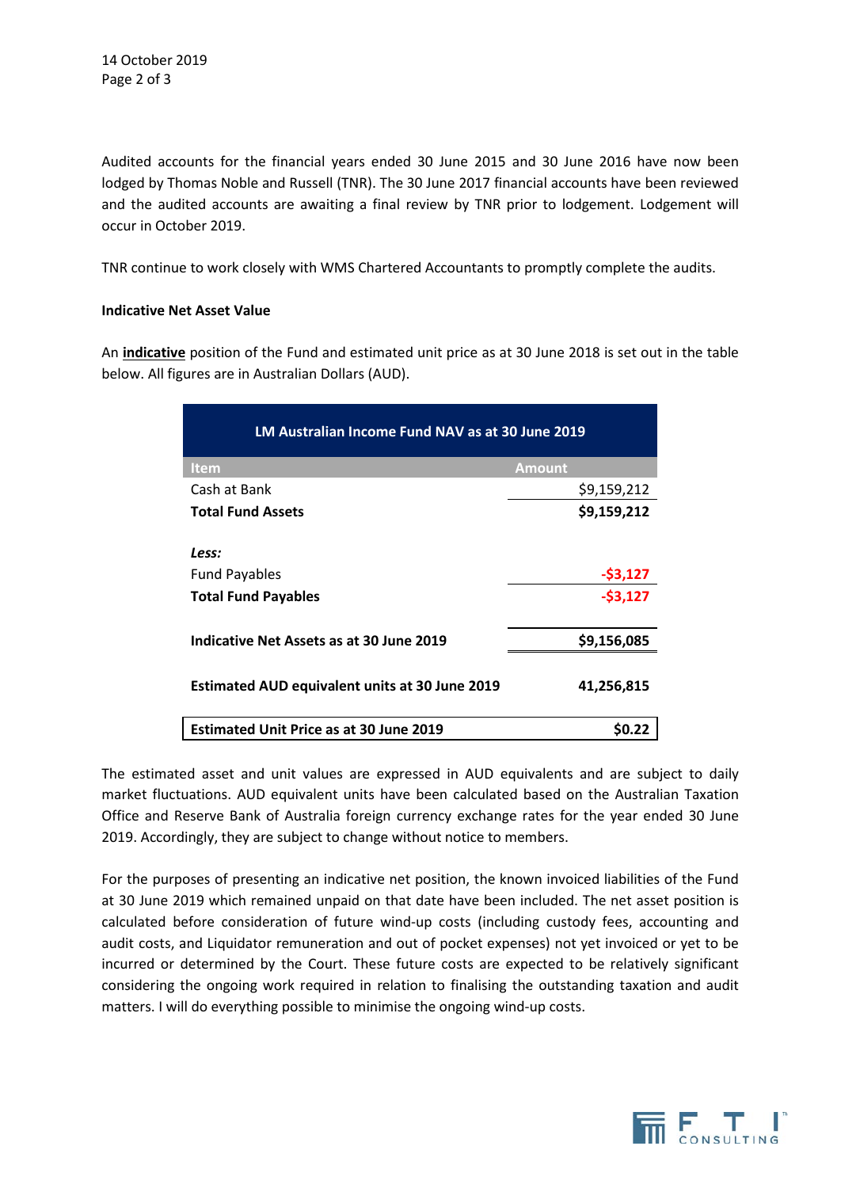Audited accounts for the financial years ended 30 June 2015 and 30 June 2016 have now been lodged by Thomas Noble and Russell (TNR). The 30 June 2017 financial accounts have been reviewed and the audited accounts are awaiting a final review by TNR prior to lodgement. Lodgement will occur in October 2019.

TNR continue to work closely with WMS Chartered Accountants to promptly complete the audits.

#### **Indicative Net Asset Value**

An **indicative** position of the Fund and estimated unit price as at 30 June 2018 is set out in the table below. All figures are in Australian Dollars (AUD).

| <b>LM Australian Income Fund NAV as at 30 June 2019</b> |               |
|---------------------------------------------------------|---------------|
| <b>Item</b>                                             | <b>Amount</b> |
| Cash at Bank                                            | \$9,159,212   |
| <b>Total Fund Assets</b>                                | \$9,159,212   |
|                                                         |               |
| Less:                                                   |               |
| <b>Fund Payables</b>                                    | $-53,127$     |
| <b>Total Fund Payables</b>                              | $-53,127$     |
|                                                         |               |
| Indicative Net Assets as at 30 June 2019                | \$9,156,085   |
| <b>Estimated AUD equivalent units at 30 June 2019</b>   | 41,256,815    |
| <b>Estimated Unit Price as at 30 June 2019</b>          | SO.22         |

The estimated asset and unit values are expressed in AUD equivalents and are subject to daily market fluctuations. AUD equivalent units have been calculated based on the Australian Taxation Office and Reserve Bank of Australia foreign currency exchange rates for the year ended 30 June 2019. Accordingly, they are subject to change without notice to members.

For the purposes of presenting an indicative net position, the known invoiced liabilities of the Fund at 30 June 2019 which remained unpaid on that date have been included. The net asset position is calculated before consideration of future wind-up costs (including custody fees, accounting and audit costs, and Liquidator remuneration and out of pocket expenses) not yet invoiced or yet to be incurred or determined by the Court. These future costs are expected to be relatively significant considering the ongoing work required in relation to finalising the outstanding taxation and audit matters. I will do everything possible to minimise the ongoing wind-up costs.